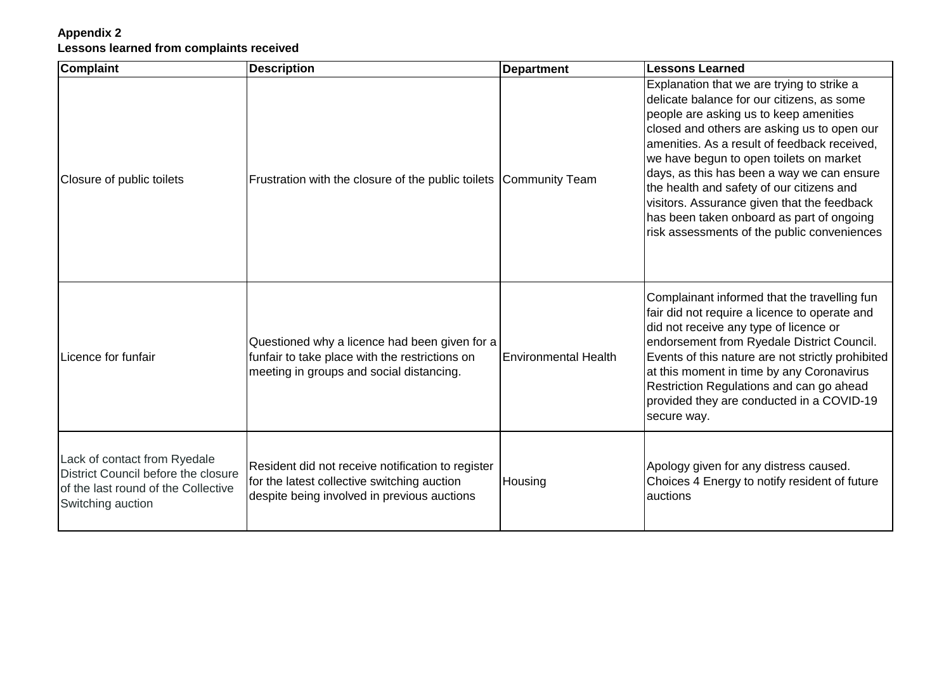## **Appendix 2 Lessons learned from complaints received**

| <b>Complaint</b>                                                                                                                | <b>Description</b>                                                                                                                              | <b>Department</b>           | <b>Lessons Learned</b>                                                                                                                                                                                                                                                                                                                                                                                                                                                                                             |
|---------------------------------------------------------------------------------------------------------------------------------|-------------------------------------------------------------------------------------------------------------------------------------------------|-----------------------------|--------------------------------------------------------------------------------------------------------------------------------------------------------------------------------------------------------------------------------------------------------------------------------------------------------------------------------------------------------------------------------------------------------------------------------------------------------------------------------------------------------------------|
| Closure of public toilets                                                                                                       | Frustration with the closure of the public toilets                                                                                              | Community Team              | Explanation that we are trying to strike a<br>delicate balance for our citizens, as some<br>people are asking us to keep amenities<br>closed and others are asking us to open our<br>amenities. As a result of feedback received,<br>we have begun to open toilets on market<br>days, as this has been a way we can ensure<br>the health and safety of our citizens and<br>visitors. Assurance given that the feedback<br>has been taken onboard as part of ongoing<br>risk assessments of the public conveniences |
| Licence for funfair                                                                                                             | Questioned why a licence had been given for a<br>funfair to take place with the restrictions on<br>meeting in groups and social distancing.     | <b>Environmental Health</b> | Complainant informed that the travelling fun<br>fair did not require a licence to operate and<br>did not receive any type of licence or<br>endorsement from Ryedale District Council.<br>Events of this nature are not strictly prohibited<br>at this moment in time by any Coronavirus<br>Restriction Regulations and can go ahead<br>provided they are conducted in a COVID-19<br>secure way.                                                                                                                    |
| Lack of contact from Ryedale<br>District Council before the closure<br>of the last round of the Collective<br>Switching auction | Resident did not receive notification to register<br>for the latest collective switching auction<br>despite being involved in previous auctions | Housing                     | Apology given for any distress caused.<br>Choices 4 Energy to notify resident of future<br>auctions                                                                                                                                                                                                                                                                                                                                                                                                                |